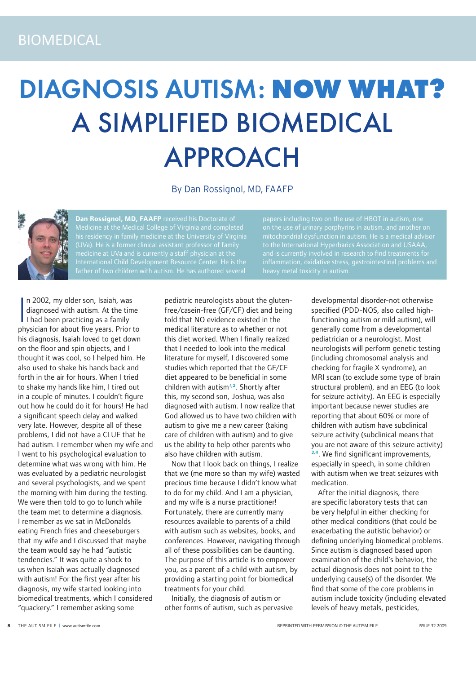# DIAGNOSIS AUTISM: **NOW WHAT?** A SIMPLIFIED BIOMEDICAL APPROACH

By Dan Rossignol, MD, FAAFP



**Dan Rossignol, MD, FAAFP** received his Doctorate of Medicine at the Medical College of Virginia and completed his residency in family medicine at the University of Virginia (UVa). He is a former clinical assistant professor of family medicine at UVa and is currently a staff physician at the

papers including two on the use of HBOT in autism, one on the use of urinary porphyrins in autism, and another on mitochondrial dysfunction in autism. He is a medical advisor to the International Hyperbarics Association and USAAA, and is currently involved in research to find treatments for

In 2002, my older son, Isaiah, was<br>diagnosed with autism. At the tin<br>I had been practicing as a family<br>physician for about five years. Prior n 2002, my older son, Isaiah, was diagnosed with autism. At the time physician for about five years. Prior to his diagnosis, Isaiah loved to get down on the floor and spin objects, and I thought it was cool, so I helped him. He also used to shake his hands back and forth in the air for hours. When I tried to shake my hands like him, I tired out in a couple of minutes. I couldn't figure out how he could do it for hours! He had a significant speech delay and walked very late. However, despite all of these problems, I did not have a CLUE that he had autism. I remember when my wife and I went to his psychological evaluation to determine what was wrong with him. He was evaluated by a pediatric neurologist and several psychologists, and we spent the morning with him during the testing. We were then told to go to lunch while the team met to determine a diagnosis. I remember as we sat in McDonalds eating French fries and cheeseburgers that my wife and I discussed that maybe the team would say he had "autistic tendencies." It was quite a shock to us when Isaiah was actually diagnosed with autism! For the first year after his diagnosis, my wife started looking into biomedical treatments, which I considered "quackery." I remember asking some

pediatric neurologists about the glutenfree/casein-free (GF/CF) diet and being told that NO evidence existed in the medical literature as to whether or not this diet worked. When I finally realized that I needed to look into the medical literature for myself, I discovered some studies which reported that the GF/CF diet appeared to be beneficial in some children with autism<sup>1,2</sup>. Shortly after this, my second son, Joshua, was also diagnosed with autism. I now realize that God allowed us to have two children with autism to give me a new career (taking care of children with autism) and to give us the ability to help other parents who also have children with autism.

Now that I look back on things, I realize that we (me more so than my wife) wasted precious time because I didn't know what to do for my child. And I am a physician, and my wife is a nurse practitioner! Fortunately, there are currently many resources available to parents of a child with autism such as websites, books, and conferences. However, navigating through all of these possibilities can be daunting. The purpose of this article is to empower you, as a parent of a child with autism, by providing a starting point for biomedical treatments for your child.

Initially, the diagnosis of autism or other forms of autism, such as pervasive developmental disorder-not otherwise specified (PDD-NOS, also called highfunctioning autism or mild autism), will generally come from a developmental pediatrician or a neurologist. Most neurologists will perform genetic testing (including chromosomal analysis and checking for fragile X syndrome), an MRI scan (to exclude some type of brain structural problem), and an EEG (to look for seizure activity). An EEG is especially important because newer studies are reporting that about 60% or more of children with autism have subclinical seizure activity (subclinical means that you are not aware of this seizure activity) 3,4. We find significant improvements, especially in speech, in some children with autism when we treat seizures with medication.

After the initial diagnosis, there are specific laboratory tests that can be very helpful in either checking for other medical conditions (that could be exacerbating the autistic behavior) or defining underlying biomedical problems. Since autism is diagnosed based upon examination of the child's behavior, the actual diagnosis does not point to the underlying cause(s) of the disorder. We find that some of the core problems in autism include toxicity (including elevated levels of heavy metals, pesticides,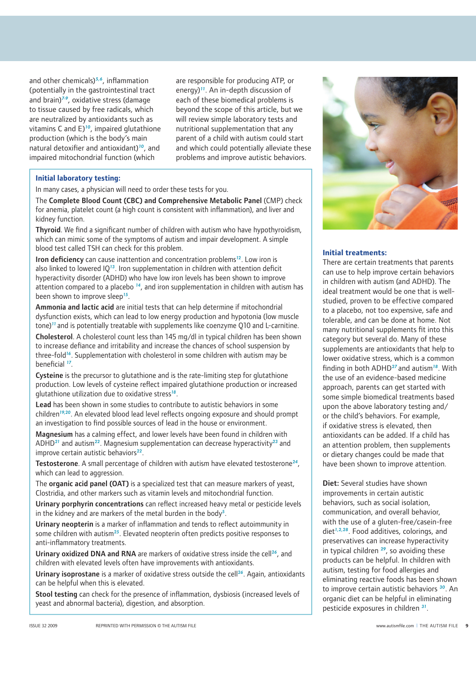and other chemicals) $5,6$ , inflammation (potentially in the gastrointestinal tract and brain) $7-9$ , oxidative stress (damage to tissue caused by free radicals, which are neutralized by antioxidants such as vitamins C and  $E$ <sup>10</sup>, impaired glutathione production (which is the body's main natural detoxifier and antioxidant)<sup>10</sup>, and impaired mitochondrial function (which

are responsible for producing ATP, or energy) $<sup>11</sup>$ . An in-depth discussion of</sup> each of these biomedical problems is beyond the scope of this article, but we will review simple laboratory tests and nutritional supplementation that any parent of a child with autism could start and which could potentially alleviate these problems and improve autistic behaviors.

## **Initial laboratory testing:**

In many cases, a physician will need to order these tests for you.

The Complete Blood Count (CBC) and Comprehensive Metabolic Panel (CMP) check for anemia, platelet count (a high count is consistent with inflammation), and liver and kidney function.

Thyroid. We find a significant number of children with autism who have hypothyroidism, which can mimic some of the symptoms of autism and impair development. A simple blood test called TSH can check for this problem.

Iron deficiency can cause inattention and concentration problems<sup>12</sup>. Low iron is also linked to lowered  $10^{13}$ . Iron supplementation in children with attention deficit hyperactivity disorder (ADHD) who have low iron levels has been shown to improve attention compared to a placebo  $14$ , and iron supplementation in children with autism has been shown to improve sleep<sup>15</sup>.

Ammonia and lactic acid are initial tests that can help determine if mitochondrial dysfunction exists, which can lead to low energy production and hypotonia (low muscle tone)<sup>11</sup> and is potentially treatable with supplements like coenzyme Q10 and L-carnitine.

Cholesterol. A cholesterol count less than 145 mg/dl in typical children has been shown to increase defiance and irritability and increase the chances of school suspension by three-fold<sup>16</sup>. Supplementation with cholesterol in some children with autism may be beneficial <sup>17</sup>.

Cysteine is the precursor to glutathione and is the rate-limiting step for glutathione production. Low levels of cysteine reflect impaired glutathione production or increased glutathione utilization due to oxidative stress<sup>18</sup>.

Lead has been shown in some studies to contribute to autistic behaviors in some children<sup>19,20</sup>. An elevated blood lead level reflects ongoing exposure and should prompt an investigation to find possible sources of lead in the house or environment.

Magnesium has a calming effect, and lower levels have been found in children with ADHD<sup>21</sup> and autism<sup>22</sup>. Magnesium supplementation can decrease hyperactivity<sup>23</sup> and improve certain autistic behaviors $^{22}$ .

**Testosterone**. A small percentage of children with autism have elevated testosterone<sup>24</sup>, which can lead to aggression.

The organic acid panel (OAT) is a specialized test that can measure markers of yeast, Clostridia, and other markers such as vitamin levels and mitochondrial function.

Urinary porphyrin concentrations can reflect increased heavy metal or pesticide levels in the kidney and are markers of the metal burden in the body<sup>5</sup>.

Urinary neopterin is a marker of inflammation and tends to reflect autoimmunity in some children with autism<sup>25</sup>. Elevated neopterin often predicts positive responses to anti-inflammatory treatments.

Urinary oxidized DNA and RNA are markers of oxidative stress inside the cell<sup>26</sup>, and children with elevated levels often have improvements with antioxidants.

Urinary isoprostane is a marker of oxidative stress outside the cell<sup>26</sup>. Again, antioxidants can be helpful when this is elevated.

Stool testing can check for the presence of inflammation, dysbiosis (increased levels of yeast and abnormal bacteria), digestion, and absorption.



### **Initial treatments:**

There are certain treatments that parents can use to help improve certain behaviors in children with autism (and ADHD). The ideal treatment would be one that is wellstudied, proven to be effective compared to a placebo, not too expensive, safe and tolerable, and can be done at home. Not many nutritional supplements fit into this category but several do. Many of these supplements are antioxidants that help to lower oxidative stress, which is a common finding in both ADHD<sup>27</sup> and autism<sup>18</sup>. With the use of an evidence-based medicine approach, parents can get started with some simple biomedical treatments based upon the above laboratory testing and/ or the child's behaviors. For example, if oxidative stress is elevated, then antioxidants can be added. If a child has an attention problem, then supplements or dietary changes could be made that have been shown to improve attention.

Diet: Several studies have shown improvements in certain autistic behaviors, such as social isolation, communication, and overall behavior, with the use of a gluten-free/casein-free diet<sup>1,2,28</sup>. Food additives, colorings, and preservatives can increase hyperactivity in typical children  $^{29}$ , so avoiding these products can be helpful. In children with autism, testing for food allergies and eliminating reactive foods has been shown to improve certain autistic behaviors <sup>30</sup>. An organic diet can be helpful in eliminating pesticide exposures in children 31.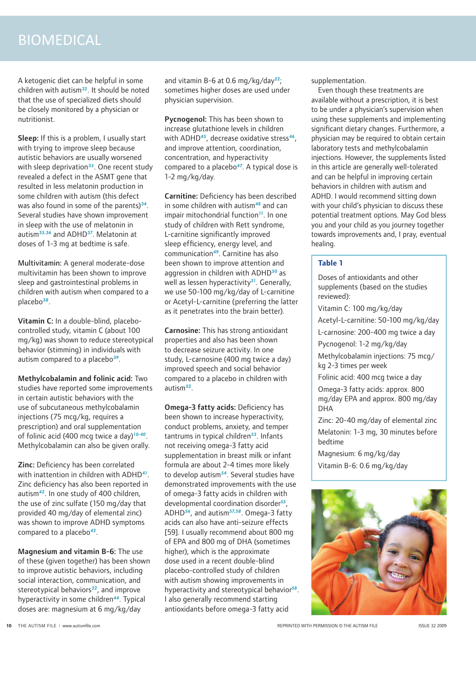# BIOMEDICAL

A ketogenic diet can be helpful in some children with autism<sup>32</sup>. It should be noted that the use of specialized diets should be closely monitored by a physician or nutritionist.

Sleep: If this is a problem, I usually start with trying to improve sleep because autistic behaviors are usually worsened with sleep deprivation<sup>33</sup>. One recent study revealed a defect in the ASMT gene that resulted in less melatonin production in some children with autism (this defect was also found in some of the parents) $34$ . Several studies have shown improvement in sleep with the use of melatonin in autism<sup>35,36</sup> and ADHD<sup>37</sup>. Melatonin at doses of 1-3 mg at bedtime is safe.

Multivitamin: A general moderate-dose multivitamin has been shown to improve sleep and gastrointestinal problems in children with autism when compared to a placebo<sup>38</sup>.

Vitamin C: In a double-blind, placebocontrolled study, vitamin C (about 100 mg/kg) was shown to reduce stereotypical behavior (stimming) in individuals with autism compared to a placebo $39$ .

Methylcobalamin and folinic acid: Two studies have reported some improvements in certain autistic behaviors with the use of subcutaneous methylcobalamin injections (75 mcg/kg, requires a prescription) and oral supplementation of folinic acid (400 mcq twice a day)<sup>10-40</sup>. Methylcobalamin can also be given orally.

Zinc: Deficiency has been correlated with inattention in children with ADHD<sup>41</sup>. Zinc deficiency has also been reported in autism<sup>42</sup>. In one study of 400 children, the use of zinc sulfate (150 mg/day that provided 40 mg/day of elemental zinc) was shown to improve ADHD symptoms compared to a placebo $43$ .

Magnesium and vitamin B-6: The use of these (given together) has been shown to improve autistic behaviors, including social interaction, communication, and stereotypical behaviors $22$ , and improve hyperactivity in some children<sup>44</sup>. Typical doses are: magnesium at 6 mg/kg/day

and vitamin B-6 at 0.6 mg/kg/day<sup>22</sup>; sometimes higher doses are used under physician supervision.

Pycnogenol: This has been shown to increase glutathione levels in children with ADHD<sup>45</sup>, decrease oxidative stress<sup>46</sup>, and improve attention, coordination, concentration, and hyperactivity compared to a placebo<sup>47</sup>. A typical dose is 1-2 mg/kg/day.

Carnitine: Deficiency has been described in some children with autism<sup>48</sup> and can impair mitochondrial function $11$ . In one study of children with Rett syndrome, L-carnitine significantly improved sleep efficiency, energy level, and communication<sup>49</sup>. Carnitine has also been shown to improve attention and aggression in children with ADHD<sup>50</sup> as well as lessen hyperactivity $51$ . Generally, we use 50-100 mg/kg/day of L-carnitine or Acetyl-L-carnitine (preferring the latter as it penetrates into the brain better).

Carnosine: This has strong antioxidant properties and also has been shown to decrease seizure activity. In one study, L-carnosine (400 mg twice a day) improved speech and social behavior compared to a placebo in children with autism $52$ .

Omega-3 fatty acids: Deficiency has been shown to increase hyperactivity, conduct problems, anxiety, and temper  $t$ antrums in typical children $53$ . Infants not receiving omega-3 fatty acid supplementation in breast milk or infant formula are about 2-4 times more likely to develop autism $54$ . Several studies have demonstrated improvements with the use of omega-3 fatty acids in children with developmental coordination disorder $55$ , ADHD<sup>56</sup>, and autism<sup>57,58</sup>. Omega-3 fatty acids can also have anti-seizure effects [59]. I usually recommend about 800 mg of EPA and 800 mg of DHA (sometimes higher), which is the approximate dose used in a recent double-blind placebo-controlled study of children with autism showing improvements in hyperactivity and stereotypical behavior<sup>58</sup>. I also generally recommend starting antioxidants before omega-3 fatty acid

supplementation.

Even though these treatments are available without a prescription, it is best to be under a physician's supervision when using these supplements and implementing significant dietary changes. Furthermore, a physician may be required to obtain certain laboratory tests and methylcobalamin injections. However, the supplements listed in this article are generally well-tolerated and can be helpful in improving certain behaviors in children with autism and ADHD. I would recommend sitting down with your child's physician to discuss these potential treatment options. May God bless you and your child as you journey together towards improvements and, I pray, eventual healing.

## **Table 1**

Doses of antioxidants and other supplements (based on the studies reviewed):

Vitamin C: 100 mg/kg/day

Acetyl-L-carnitine: 50-100 mg/kg/day

L-carnosine: 200-400 mg twice a day

Pycnogenol: 1-2 mg/kg/day

Methylcobalamin injections: 75 mcg/ kg 2-3 times per week

Folinic acid: 400 mcg twice a day

Omega-3 fatty acids: approx. 800 mg/day EPA and approx. 800 mg/day DHA

Zinc: 20-40 mg/day of elemental zinc Melatonin: 1-3 mg, 30 minutes before bedtime

Magnesium: 6 mg/kg/day Vitamin B-6: 0.6 mg/kg/day